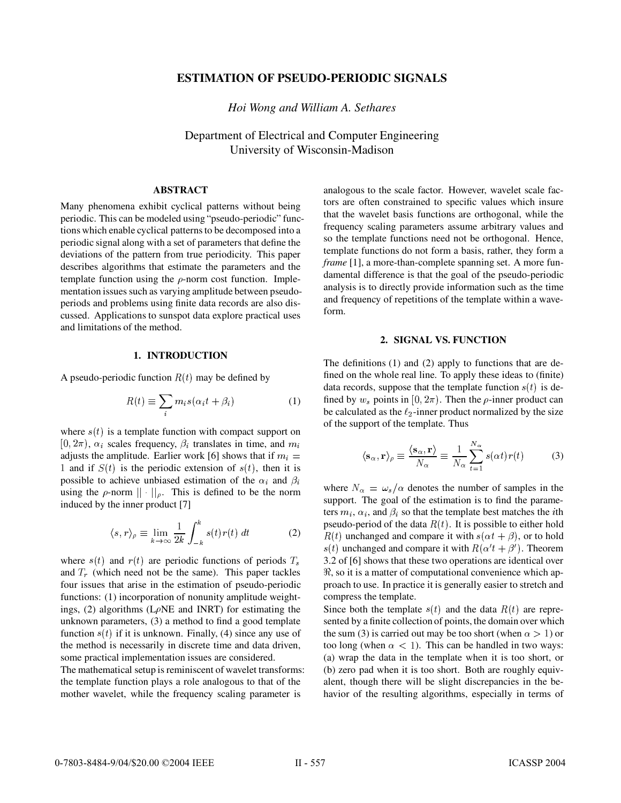# **ESTIMATION OF PSEUDO-PERIODIC SIGNALS**

*Hoi Wong and William A. Sethares*

Department of Electrical and Computer Engineering University of Wisconsin-Madison

### **ABSTRACT**

Many phenomena exhibit cyclical patterns without being periodic. This can be modeled using "pseudo-periodic" functions which enable cyclical patterns to be decomposed into a periodic signal along with a set of parameters that define the deviations of the pattern from true periodicity. This paper describes algorithms that estimate the parameters and the template function using the  $\rho$ -norm cost function. Implementation issues such as varying amplitude between pseudoperiods and problems using finite data records are also discussed. Applications to sunspot data explore practical uses and limitations of the method.

#### **1. INTRODUCTION**

A pseudo-periodic function  $R(t)$  may be defined by

$$
R(t) \equiv \sum_{i} m_{i} s(\alpha_{i} t + \beta_{i}) \tag{1}
$$

where  $s(t)$  is a template function with compact support on  $[0, 2\pi)$ ,  $\alpha_i$  scales frequency,  $\beta_i$  translates in time, and  $m_i$ adjusts the amplitude. Earlier work [6] shows that if  $m_i =$ 1 and if  $S(t)$  is the periodic extension of  $s(t)$ , then it is possible to achieve unbiased estimation of the  $\alpha_i$  and  $\beta_i$ using the  $\rho$ -norm  $|| \cdot ||_{\rho}$ . This is defined to be the norm induced by the inner product [7]

$$
\langle s, r \rangle_{\rho} \equiv \lim_{k \to \infty} \frac{1}{2k} \int_{-k}^{k} s(t) r(t) dt \tag{2}
$$

where  $s(t)$  and  $r(t)$  are periodic functions of periods  $T_s$ and  $T_r$  (which need not be the same). This paper tackles four issues that arise in the estimation of pseudo-periodic functions: (1) incorporation of nonunity amplitude weightings, (2) algorithms ( $L\rho$ NE and INRT) for estimating the unknown parameters, (3) a method to find a good template function  $s(t)$  if it is unknown. Finally, (4) since any use of the method is necessarily in discrete time and data driven, some practical implementation issues are considered.

The mathematical setup is reminiscent of wavelet transforms: the template function plays a role analogous to that of the mother wavelet, while the frequency scaling parameter is

analogous to the scale factor. However, wavelet scale factors are often constrained to specific values which insure that the wavelet basis functions are orthogonal, while the frequency scaling parameters assume arbitrary values and so the template functions need not be orthogonal. Hence, template functions do not form a basis, rather, they form a *frame* [1], a more-than-complete spanning set. A more fundamental difference is that the goal of the pseudo-periodic analysis is to directly provide information such as the time and frequency of repetitions of the template within a waveform.

### **2. SIGNAL VS. FUNCTION**

The definitions (1) and (2) apply to functions that are defined on the whole real line. To apply these ideas to (finite) data records, suppose that the template function  $s(t)$  is defined by  $w_s$  points in [0,  $2\pi$ ). Then the  $\rho$ -inner product can be calculated as the  $\ell_2$ -inner product normalized by the size of the support of the template. Thus

$$
\langle \mathbf{s}_{\alpha}, \mathbf{r} \rangle_{\rho} \equiv \frac{\langle \mathbf{s}_{\alpha}, \mathbf{r} \rangle}{N_{\alpha}} \equiv \frac{1}{N_{\alpha}} \sum_{t=1}^{N_{\alpha}} s(\alpha t) r(t) \tag{3}
$$

where  $N_{\alpha} = \omega_s / \alpha$  denotes the number of samples in the support. The goal of the estimation is to find the parameters  $m_i$ ,  $\alpha_i$ , and  $\beta_i$  so that the template best matches the *i*th pseudo-period of the data  $R(t)$ . It is possible to either hold  $R(t)$  unchanged and compare it with  $s(\alpha t + \beta)$ , or to hold  $s(t)$  unchanged and compare it with  $R(\alpha' t + \beta')$ . Theorem 3.2 of [6] shows that these two operations are identical over <sup>8</sup> , so it is a matter of computational convenience which approach to use. In practice it is generally easier to stretch and compress the template.

Since both the template  $s(t)$  and the data  $R(t)$  are represented by a finite collection of points, the domain over which the sum (3) is carried out may be too short (when  $\alpha > 1$ ) or too long (when  $\alpha < 1$ ). This can be handled in two ways: (a) wrap the data in the template when it is too short, or (b) zero pad when it is too short. Both are roughly equivalent, though there will be slight discrepancies in the behavior of the resulting algorithms, especially in terms of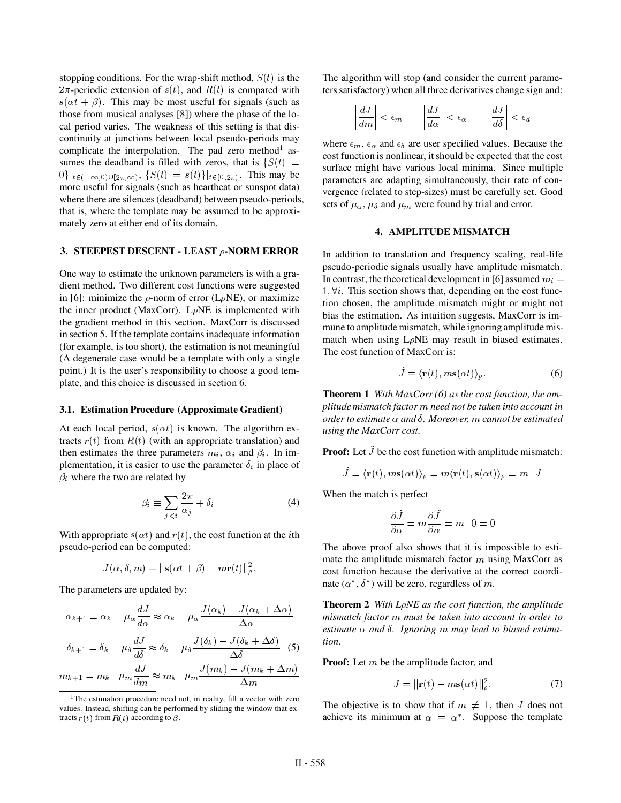stopping conditions. For the wrap-shift method,  $S(t)$  is the  $2\pi$ -periodic extension of  $s(t)$ , and  $R(t)$  is compared with  $s(\alpha t + \beta)$ . This may be most useful for signals (such as those from musical analyses [8]) where the phase of the local period varies. The weakness of this setting is that discontinuity at junctions between local pseudo-periods may complicate the interpolation. The pad zero method<sup>1</sup> assumes the deadband is filled with zeros, that is  $\{S(t) =$  $\{0\}\big|_{t\in(-\infty,0)\cup[2\pi,\infty)}, \{S(t) = s(t)\}\big|_{t\in[0,2\pi)}.$  This may be more useful for signals (such as heartbeat or sunspot data) where there are silences (deadband) between pseudo-periods, that is, where the template may be assumed to be approximately zero at either end of its domain.

#### **3. STEEPEST DESCENT - LEAST -NORM ERROR**

One way to estimate the unknown parameters is with a gradient method. Two different cost functions were suggested in [6]: minimize the  $\rho$ -norm of error (L $\rho$ NE), or maximize the inner product (MaxCorr).  $L\rho NE$  is implemented with the gradient method in this section. MaxCorr is discussed in section 5. If the template contains inadequate information (for example, is too short), the estimation is not meaningful (A degenerate case would be a template with only a single point.) It is the user's responsibility to choose a good template, and this choice is discussed in section 6.

### **3.1. Estimation Procedure (Approximate Gradient)**

At each local period,  $s(\alpha t)$  is known. The algorithm extracts  $r(t)$  from  $R(t)$  (with an appropriate translation) and then estimates the three parameters  $m_i$ ,  $\alpha_i$  and  $\beta_i$ . In implementation, it is easier to use the parameter  $\delta_i$  in place of  $\beta_i$  where the two are related by

$$
\beta_i \equiv \sum_{j < i} \frac{2\pi}{\alpha_j} + \delta_i. \tag{4}
$$

With appropriate  $s(\alpha t)$  and  $r(t)$ , the cost function at the *i*th pseudo-period can be computed:

$$
J(\alpha,\delta,m)=||\mathbf{s}(\alpha t+\beta)-m\mathbf{r}(t)||^2_{\rho}.
$$

The parameters are updated by:

$$
\alpha_{k+1} = \alpha_k - \mu_{\alpha} \frac{dJ}{d\alpha} \approx \alpha_k - \mu_{\alpha} \frac{J(\alpha_k) - J(\alpha_k + \Delta \alpha)}{\Delta \alpha}
$$
  
\n
$$
\delta_{k+1} = \delta_k - \mu_{\delta} \frac{dJ}{d\delta} \approx \delta_k - \mu_{\delta} \frac{J(\delta_k) - J(\delta_k + \Delta \delta)}{\Delta \delta}
$$
 (5)  
\n
$$
m_{k+1} = m_k - \mu_m \frac{dJ}{dm} \approx m_k - \mu_m \frac{J(m_k) - J(m_k + \Delta m)}{\Delta m}
$$
  
\n**Proof:** Let

The algorithm will stop (and consider the current parameters satisfactory) when all three derivatives change sign and:

$$
\left|\frac{dJ}{dm}\right| < \epsilon_m \qquad \left|\frac{dJ}{d\alpha}\right| < \epsilon_\alpha \qquad \left|\frac{dJ}{d\delta}\right| < \epsilon_d
$$

 $\frac{1}{2}$  surface might have various local minima. Since multiple where  $\epsilon_m$ ,  $\epsilon_\alpha$  and  $\epsilon_\delta$  are user specified values. Because the cost function is nonlinear, it should be expected that the cost parameters are adapting simultaneously, their rate of convergence (related to step-sizes) must be carefully set. Good sets of  $\mu_{\alpha}$ ,  $\mu_{\delta}$  and  $\mu_m$  were found by trial and error.

### **4. AMPLITUDE MISMATCH**

In addition to translation and frequency scaling, real-life pseudo-periodic signals usually have amplitude mismatch. In contrast, the theoretical development in [6] assumed  $m_i =$  $1, \forall i$ . This section shows that, depending on the cost function chosen, the amplitude mismatch might or might not bias the estimation. As intuition suggests, MaxCorr is immune to amplitude mismatch, while ignoring amplitude mismatch when using  $L\rho NE$  may result in biased estimates. The cost function of MaxCorr is:

$$
\tilde{J} = \langle \mathbf{r}(t), m\mathbf{s}(\alpha t) \rangle_p. \tag{6}
$$

**Theorem 1** *With MaxCorr (6) as the cost function, the amplitude mismatch factor need not be taken into account in order to estimate and . Moreover, cannot be estimated using the MaxCorr cost.*

**Proof:** Let  $\tilde{J}$  be the cost function with amplitude mismatch:

$$
\widetilde{J}=\langle \mathbf{r}(t),m\mathbf{s}(\alpha t)\rangle_{\rho}=m\langle \mathbf{r}(t),\mathbf{s}(\alpha t)\rangle_{\rho}=m\cdot J
$$

When the match is perfect

$$
\frac{\partial \tilde{J}}{\partial \alpha} = m \frac{\partial \tilde{J}}{\partial \alpha} = m \cdot 0 = 0
$$

The above proof also shows that it is impossible to estimate the amplitude mismatch factor  $m$  using MaxCorr as cost function because the derivative at the correct coordinate  $(\alpha^*, \delta^*)$  will be zero, regardless of m.

**Theorem 2** *With L NE as the cost function, the amplitude mismatch factor must be taken into account in order to estimate* α and δ. Ignoring m may lead to biased estima*tion.*

**Proof:** Let m be the amplitude factor, and

$$
J = ||\mathbf{r}(t) - m\mathbf{s}(\alpha t)||_{\rho}^{2}.
$$
 (7)

The objective is to show that if  $m \neq 1$ , then J does not achieve its minimum at  $\alpha = \alpha^*$ . Suppose the template

<sup>&</sup>lt;sup>1</sup>The estimation procedure need not, in reality, fill a vector with zero values. Instead, shifting can be performed by sliding the window that extracts  $r(t)$  from  $R(t)$  according to  $\beta$ .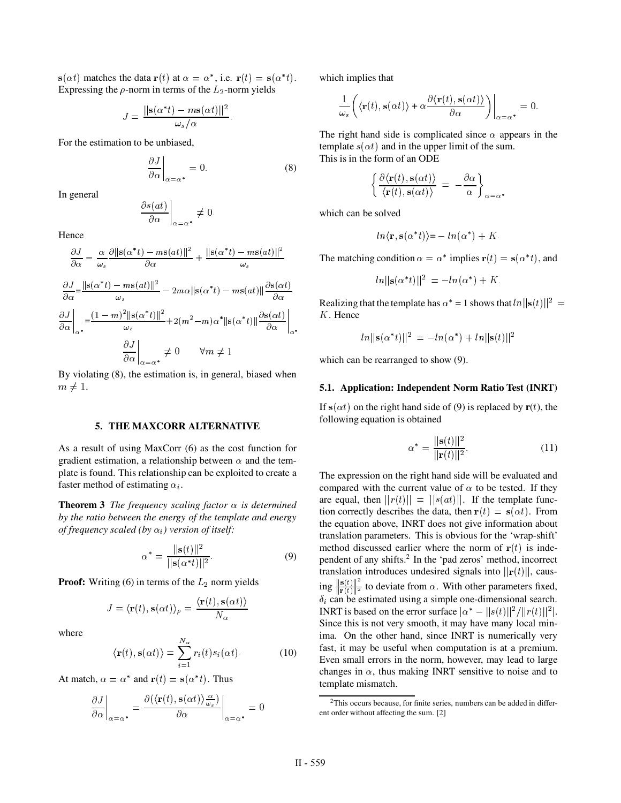$\mathbf{s}(\alpha t)$  matches the data  $\mathbf{r}(t)$  at  $\alpha = \alpha^*$ , i.e.  $\mathbf{r}(t) = \mathbf{s}(\alpha^* t)$ . wh Expressing the  $\rho$ -norm in terms of the  $L_2$ -norm yields

$$
J = \frac{\|\mathbf{s}(\alpha^*t) - m\mathbf{s}(\alpha t)\|^2}{\omega_s/\alpha}.
$$

For the estimation to be unbiased,

$$
\left. \frac{\partial J}{\partial \alpha} \right|_{\alpha = \alpha^*} = 0. \tag{8}
$$

In general

$$
\left. \frac{\partial s(at)}{\partial \alpha} \right|_{\alpha = \alpha^*} \neq 0.
$$

Hence

$$
\frac{\partial J}{\partial \alpha} = \frac{\alpha}{\omega_s} \frac{\partial ||s(\alpha^*t) - ms(at)||^2}{\partial \alpha} + \frac{||s(\alpha^*t) - ms(at)||^2}{\omega_s}
$$
Th  
\n
$$
\frac{\partial J}{\partial \alpha} = \frac{||s(\alpha^*t) - ms(at)||^2}{\omega_s} - 2m\alpha ||s(\alpha^*t) - ms(at)|| \frac{\partial s(\alpha t)}{\partial \alpha}
$$
Re  
\n
$$
\frac{\partial J}{\partial \alpha} \Big|_{\alpha^*} = \frac{(1 - m)^2 ||s(\alpha^*t)||^2}{\omega_s} + 2(m^2 - m)\alpha^* ||s(\alpha^*t)|| \frac{\partial s(\alpha t)}{\partial \alpha} \Big|_{\alpha^*}
$$
K.  
\n
$$
\frac{\partial J}{\partial \alpha} \Big|_{\alpha = \alpha^*} \neq 0 \qquad \forall m \neq 1
$$
wh

By violating (8), the estimation is, in general, biased when  $\neq 1$ .

#### **5. THE MAXCORR ALTERNATIVE**

As a result of using MaxCorr (6) as the cost function for gradient estimation, a relationship between  $\alpha$  and the template is found. This relationship can be exploited to create a faster method of estimating  $\alpha_i$ .

**Theorem 3** *The frequency scaling factor*  $\alpha$  *is determined by the ratio between the energy of the template and energy of frequency scaled (by*  $\alpha_i$ ) version of itself:

$$
\alpha^* = \frac{\|\mathbf{s}(t)\|^2}{\|\mathbf{s}(\alpha^*t)\|^2}.
$$
 (9)

**Proof:** Writing  $(6)$  in terms of the  $L_2$  norm yields

$$
J=\langle \mathbf{r}(t),\mathbf{s}(\alpha t)\rangle_{\rho}=\frac{\langle \mathbf{r}(t),\mathbf{s}(\alpha t)\rangle}{N_{\alpha}}
$$

where

$$
\langle \mathbf{r}(t), \mathbf{s}(\alpha t) \rangle = \sum_{i=1}^{N_{\alpha}} r_i(t) s_i(\alpha t). \tag{10}
$$

At match,  $\alpha = \alpha^*$  and  $\mathbf{r}(t) = \mathbf{s}(\alpha^*t)$ . Thus

$$
\left. \frac{\partial J}{\partial \alpha} \right|_{\alpha = \alpha^*} = \frac{\partial (\langle \mathbf{r}(t), \mathbf{s}(\alpha t) \rangle_{\omega_s}^{\alpha})}{\partial \alpha} \bigg|_{\alpha = \alpha^*} = 0
$$

which implies that

$$
\frac{1}{\omega_s} \left( \langle \mathbf{r}(t), \mathbf{s}(\alpha t) \rangle + \alpha \frac{\partial \langle \mathbf{r}(t), \mathbf{s}(\alpha t) \rangle}{\partial \alpha} \right) \Big|_{\alpha = \alpha^*} = 0.
$$

The right hand side is complicated since  $\alpha$  appears in the template  $s(\alpha t)$  and in the upper limit of the sum. This is in the form of an ODE

$$
\left\{\frac{\partial \langle \mathbf{r}(t), \mathbf{s}(\alpha t) \rangle}{\langle \mathbf{r}(t), \mathbf{s}(\alpha t) \rangle} \,=\, -\frac{\partial \alpha}{\alpha} \right\}_{\alpha = \alpha^*}.
$$

which can be solved

$$
ln\langle \mathbf{r}, \mathbf{s}(\alpha^*t)\rangle = -ln(\alpha^*) + K.
$$

The matching condition  $\alpha = \alpha^*$  implies  $\mathbf{r}(t) = \mathbf{s}(\alpha^*t)$ , and

$$
ln||\mathbf{s}(\alpha^*t)||^2 = -ln(\alpha^*) + K.
$$

 $(\alpha t)$  K. Hence Realizing that the template has  $\alpha^* = 1$  shows that  $\ln ||s(t)||^2 =$ 

$$
ln||\mathbf{s}(\alpha^*t)||^2 = -ln(\alpha^*) + ln||\mathbf{s}(t)||^2
$$

which can be rearranged to show  $(9)$ .

#### **5.1. Application: Independent Norm Ratio Test (INRT)**

If  $s(\alpha t)$  on the right hand side of (9) is replaced by  $r(t)$ , the following equation is obtained

$$
\alpha^* = \frac{\|\mathbf{s}(t)\|^2}{\|\mathbf{r}(t)\|^2}.\tag{11}
$$

The expression on the right hand side will be evaluated and compared with the current value of  $\alpha$  to be tested. If they are equal, then  $||r(t)|| = ||s(at)||$ . If the template function correctly describes the data, then  $\mathbf{r}(t) = \mathbf{s}(\alpha t)$ . From the equation above, INRT does not give information about translation parameters. This is obvious for the 'wrap-shift' method discussed earlier where the norm of  $r(t)$  is independent of any shifts.2 In the 'pad zeros' method, incorrect translation introduces undesired signals into  $\|\mathbf{r}(t)\|$ , caus- $\frac{\| \mathbf{s}(t) \|^2}{\| \mathbf{r}(t) \|^2}$  to  $\frac{f(t)}{f(t)}$  to deviate from  $\alpha$ . With other parameters fixed,  $\delta_i$  can be estimated using a simple one-dimensional search. INRT is based on the error surface  $\alpha^* - ||s(t)||^2 / ||r(t)||^2$ . Since this is not very smooth, it may have many local minima. On the other hand, since INRT is numerically very fast, it may be useful when computation is at a premium. Even small errors in the norm, however, may lead to large changes in  $\alpha$ , thus making INRT sensitive to noise and to template mismatch.

<sup>&</sup>lt;sup>2</sup>This occurs because, for finite series, numbers can be added in different order without affecting the sum. [2]